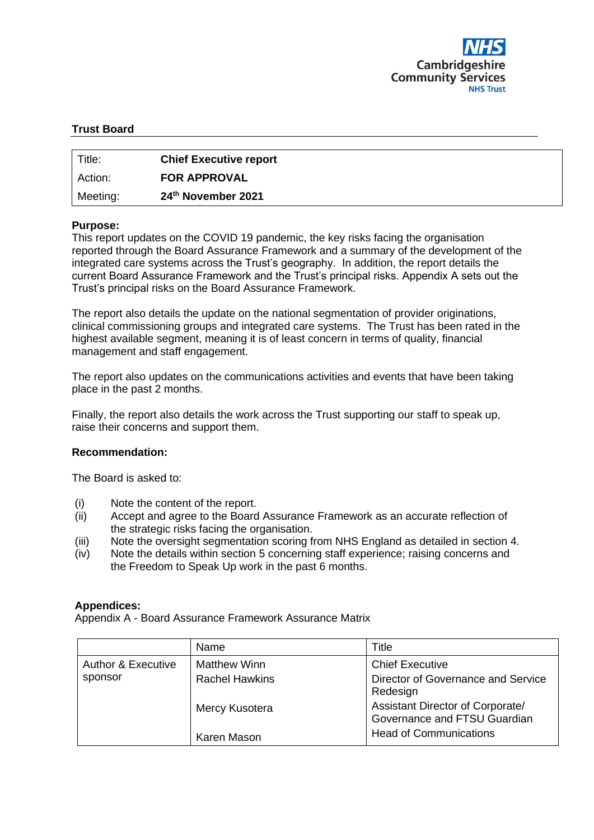

# **Trust Board**

| Title:   | <b>Chief Executive report</b> |
|----------|-------------------------------|
| Action:  | <b>FOR APPROVAL</b>           |
| Meeting: | 24th November 2021            |

#### **Purpose:**

This report updates on the COVID 19 pandemic, the key risks facing the organisation reported through the Board Assurance Framework and a summary of the development of the integrated care systems across the Trust's geography. In addition, the report details the current Board Assurance Framework and the Trust's principal risks. Appendix A sets out the Trust's principal risks on the Board Assurance Framework.

The report also details the update on the national segmentation of provider originations, clinical commissioning groups and integrated care systems. The Trust has been rated in the highest available segment, meaning it is of least concern in terms of quality, financial management and staff engagement.

The report also updates on the communications activities and events that have been taking place in the past 2 months.

Finally, the report also details the work across the Trust supporting our staff to speak up, raise their concerns and support them.

#### **Recommendation:**

The Board is asked to:

- (i) Note the content of the report.
- (ii) Accept and agree to the Board Assurance Framework as an accurate reflection of the strategic risks facing the organisation.
- (iii) Note the oversight segmentation scoring from NHS England as detailed in section 4.
- (iv) Note the details within section 5 concerning staff experience; raising concerns and the Freedom to Speak Up work in the past 6 months.

#### **Appendices:**

Appendix A - Board Assurance Framework Assurance Matrix

|                               | Name                  | Title                                                            |
|-------------------------------|-----------------------|------------------------------------------------------------------|
| <b>Author &amp; Executive</b> | <b>Matthew Winn</b>   | <b>Chief Executive</b>                                           |
| sponsor                       | <b>Rachel Hawkins</b> | Director of Governance and Service<br>Redesign                   |
|                               | Mercy Kusotera        | Assistant Director of Corporate/<br>Governance and FTSU Guardian |
|                               | Karen Mason           | <b>Head of Communications</b>                                    |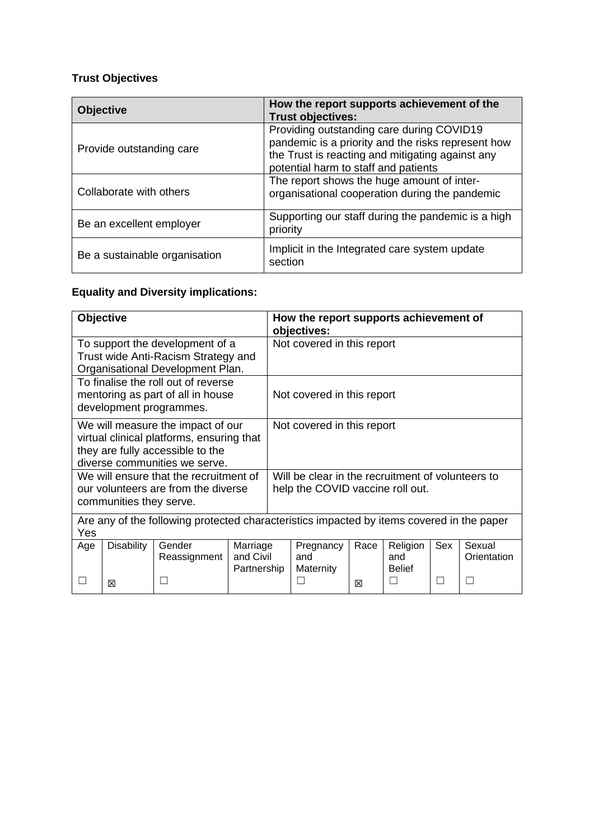# **Trust Objectives**

| <b>Objective</b>              | How the report supports achievement of the<br><b>Trust objectives:</b>                                                                                                                      |
|-------------------------------|---------------------------------------------------------------------------------------------------------------------------------------------------------------------------------------------|
| Provide outstanding care      | Providing outstanding care during COVID19<br>pandemic is a priority and the risks represent how<br>the Trust is reacting and mitigating against any<br>potential harm to staff and patients |
| Collaborate with others       | The report shows the huge amount of inter-<br>organisational cooperation during the pandemic                                                                                                |
| Be an excellent employer      | Supporting our staff during the pandemic is a high<br>priority                                                                                                                              |
| Be a sustainable organisation | Implicit in the Integrated care system update<br>section                                                                                                                                    |

# **Equality and Diversity implications:**

| Objective                |                                                                                           |             |                            | How the report supports achievement of<br>objectives: |      |               |     |             |  |  |  |
|--------------------------|-------------------------------------------------------------------------------------------|-------------|----------------------------|-------------------------------------------------------|------|---------------|-----|-------------|--|--|--|
|                          | To support the development of a<br>Trust wide Anti-Racism Strategy and                    |             | Not covered in this report |                                                       |      |               |     |             |  |  |  |
|                          | Organisational Development Plan.                                                          |             |                            |                                                       |      |               |     |             |  |  |  |
|                          | To finalise the roll out of reverse                                                       |             |                            |                                                       |      |               |     |             |  |  |  |
|                          | mentoring as part of all in house                                                         |             |                            | Not covered in this report                            |      |               |     |             |  |  |  |
|                          | development programmes.                                                                   |             |                            |                                                       |      |               |     |             |  |  |  |
|                          | We will measure the impact of our                                                         |             |                            | Not covered in this report                            |      |               |     |             |  |  |  |
|                          | virtual clinical platforms, ensuring that                                                 |             |                            |                                                       |      |               |     |             |  |  |  |
|                          | they are fully accessible to the<br>diverse communities we serve.                         |             |                            |                                                       |      |               |     |             |  |  |  |
|                          |                                                                                           |             |                            |                                                       |      |               |     |             |  |  |  |
|                          | We will ensure that the recruitment of                                                    |             |                            | Will be clear in the recruitment of volunteers to     |      |               |     |             |  |  |  |
|                          | our volunteers are from the diverse                                                       |             |                            | help the COVID vaccine roll out.                      |      |               |     |             |  |  |  |
| communities they serve.  |                                                                                           |             |                            |                                                       |      |               |     |             |  |  |  |
|                          | Are any of the following protected characteristics impacted by items covered in the paper |             |                            |                                                       |      |               |     |             |  |  |  |
| Yes                      |                                                                                           |             |                            |                                                       |      |               |     |             |  |  |  |
| <b>Disability</b><br>Age | Gender                                                                                    | Marriage    |                            | Pregnancy                                             | Race | Religion      | Sex | Sexual      |  |  |  |
|                          | Reassignment                                                                              | and Civil   |                            | and                                                   |      | and           |     | Orientation |  |  |  |
|                          |                                                                                           | Partnership |                            | Maternity                                             |      | <b>Belief</b> |     |             |  |  |  |
| ⊠                        |                                                                                           |             |                            |                                                       | ⊠    |               |     | L           |  |  |  |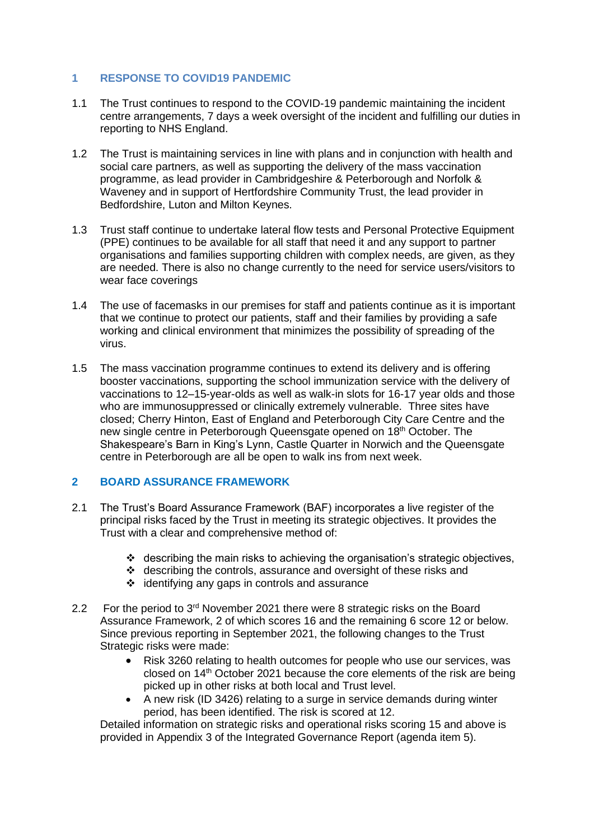### **1 RESPONSE TO COVID19 PANDEMIC**

- 1.1 The Trust continues to respond to the COVID-19 pandemic maintaining the incident centre arrangements, 7 days a week oversight of the incident and fulfilling our duties in reporting to NHS England.
- 1.2 The Trust is maintaining services in line with plans and in conjunction with health and social care partners, as well as supporting the delivery of the mass vaccination programme, as lead provider in Cambridgeshire & Peterborough and Norfolk & Waveney and in support of Hertfordshire Community Trust, the lead provider in Bedfordshire, Luton and Milton Keynes.
- 1.3 Trust staff continue to undertake lateral flow tests and Personal Protective Equipment (PPE) continues to be available for all staff that need it and any support to partner organisations and families supporting children with complex needs, are given, as they are needed. There is also no change currently to the need for service users/visitors to wear face coverings
- 1.4 The use of facemasks in our premises for staff and patients continue as it is important that we continue to protect our patients, staff and their families by providing a safe working and clinical environment that minimizes the possibility of spreading of the virus.
- 1.5 The mass vaccination programme continues to extend its delivery and is offering booster vaccinations, supporting the school immunization service with the delivery of vaccinations to 12–15-year-olds as well as walk-in slots for 16-17 year olds and those who are immunosuppressed or clinically extremely vulnerable. Three sites have closed; Cherry Hinton, East of England and Peterborough City Care Centre and the new single centre in Peterborough Queensgate opened on 18th October. The Shakespeare's Barn in King's Lynn, Castle Quarter in Norwich and the Queensgate centre in Peterborough are all be open to walk ins from next week.

# **2 BOARD ASSURANCE FRAMEWORK**

- 2.1 The Trust's Board Assurance Framework (BAF) incorporates a live register of the principal risks faced by the Trust in meeting its strategic objectives. It provides the Trust with a clear and comprehensive method of:
	- ❖ describing the main risks to achieving the organisation's strategic objectives,
	- ❖ describing the controls, assurance and oversight of these risks and
	- ❖ identifying any gaps in controls and assurance
- 2.2 For the period to 3<sup>rd</sup> November 2021 there were 8 strategic risks on the Board Assurance Framework, 2 of which scores 16 and the remaining 6 score 12 or below. Since previous reporting in September 2021, the following changes to the Trust Strategic risks were made:
	- Risk 3260 relating to health outcomes for people who use our services, was closed on 14th October 2021 because the core elements of the risk are being picked up in other risks at both local and Trust level.
	- A new risk (ID 3426) relating to a surge in service demands during winter period, has been identified. The risk is scored at 12.

Detailed information on strategic risks and operational risks scoring 15 and above is provided in Appendix 3 of the Integrated Governance Report (agenda item 5).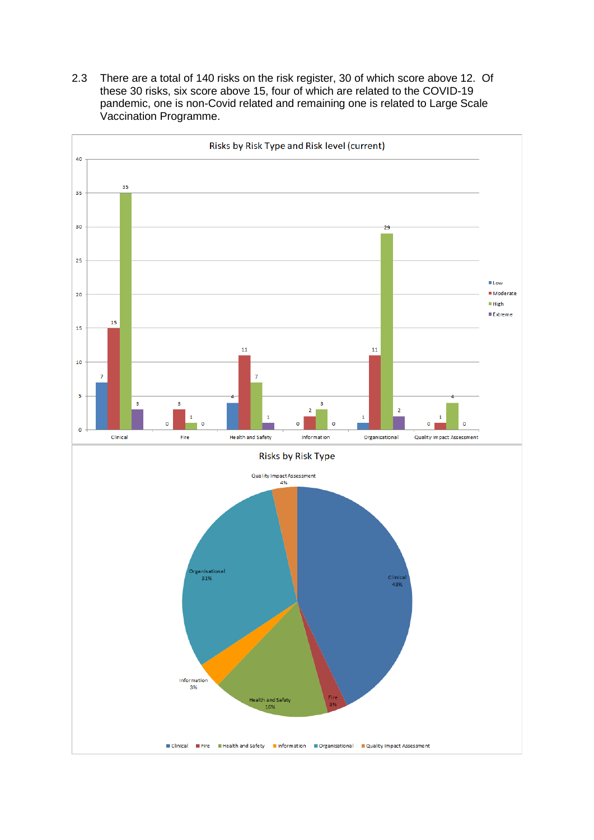2.3 There are a total of 140 risks on the risk register, 30 of which score above 12. Of these 30 risks, six score above 15, four of which are related to the COVID-19 pandemic, one is non-Covid related and remaining one is related to Large Scale Vaccination Programme.

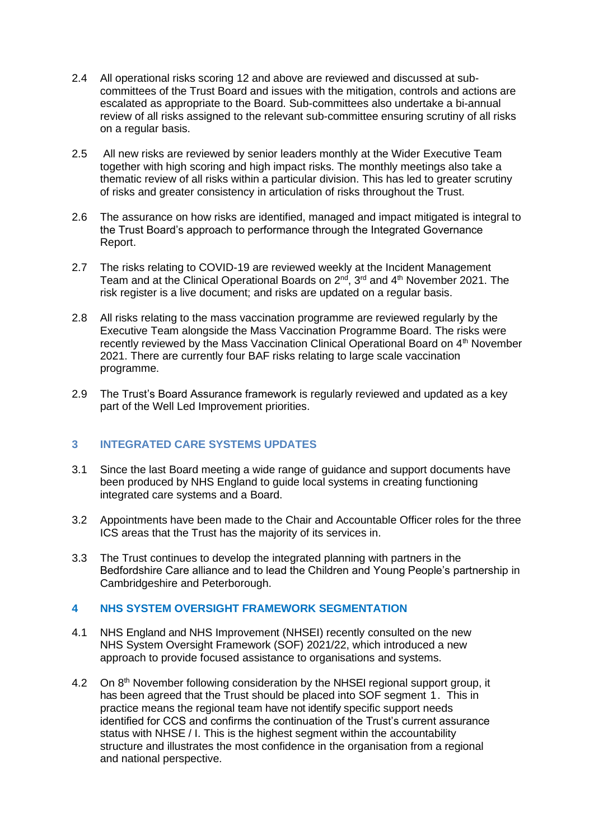- 2.4 All operational risks scoring 12 and above are reviewed and discussed at subcommittees of the Trust Board and issues with the mitigation, controls and actions are escalated as appropriate to the Board. Sub-committees also undertake a bi-annual review of all risks assigned to the relevant sub-committee ensuring scrutiny of all risks on a regular basis.
- 2.5 All new risks are reviewed by senior leaders monthly at the Wider Executive Team together with high scoring and high impact risks. The monthly meetings also take a thematic review of all risks within a particular division. This has led to greater scrutiny of risks and greater consistency in articulation of risks throughout the Trust.
- 2.6 The assurance on how risks are identified, managed and impact mitigated is integral to the Trust Board's approach to performance through the Integrated Governance Report.
- 2.7 The risks relating to COVID-19 are reviewed weekly at the Incident Management Team and at the Clinical Operational Boards on  $2^{nd}$ ,  $3^{rd}$  and  $4^{th}$  November 2021. The risk register is a live document; and risks are updated on a regular basis.
- 2.8 All risks relating to the mass vaccination programme are reviewed regularly by the Executive Team alongside the Mass Vaccination Programme Board. The risks were recently reviewed by the Mass Vaccination Clinical Operational Board on 4<sup>th</sup> November 2021. There are currently four BAF risks relating to large scale vaccination programme.
- 2.9 The Trust's Board Assurance framework is regularly reviewed and updated as a key part of the Well Led Improvement priorities.

# **3 INTEGRATED CARE SYSTEMS UPDATES**

- 3.1 Since the last Board meeting a wide range of guidance and support documents have been produced by NHS England to guide local systems in creating functioning integrated care systems and a Board.
- 3.2 Appointments have been made to the Chair and Accountable Officer roles for the three ICS areas that the Trust has the majority of its services in.
- 3.3 The Trust continues to develop the integrated planning with partners in the Bedfordshire Care alliance and to lead the Children and Young People's partnership in Cambridgeshire and Peterborough.

### **4 NHS SYSTEM OVERSIGHT FRAMEWORK SEGMENTATION**

- 4.1 NHS England and NHS Improvement (NHSEI) recently consulted on the new NHS System Oversight Framework (SOF) 2021/22, which introduced a new approach to provide focused assistance to organisations and systems.
- 4.2 On 8th November following consideration by the NHSEI regional support group, it has been agreed that the Trust should be placed into SOF segment 1. This in practice means the regional team have not identify specific support needs identified for CCS and confirms the continuation of the Trust's current assurance status with NHSE / I. This is the highest segment within the accountability structure and illustrates the most confidence in the organisation from a regional and national perspective.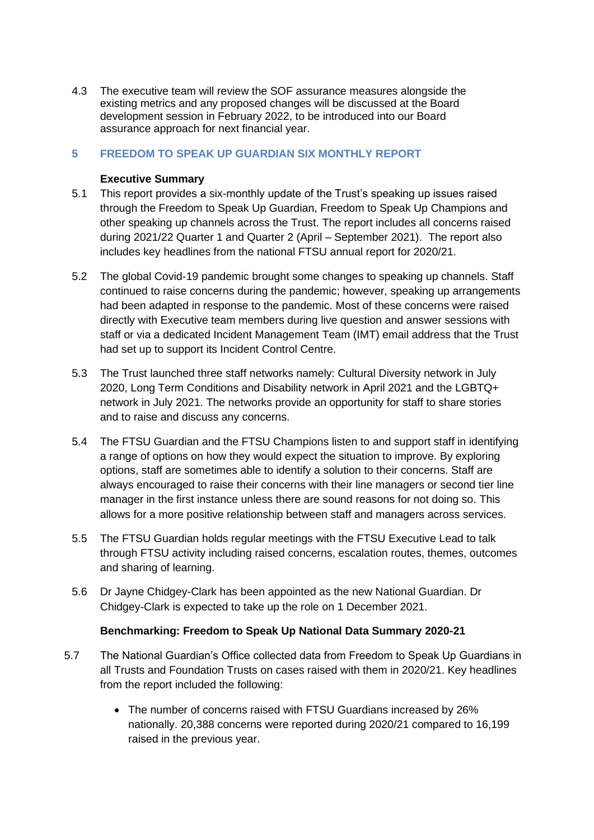4.3 The executive team will review the SOF assurance measures alongside the existing metrics and any proposed changes will be discussed at the Board development session in February 2022, to be introduced into our Board assurance approach for next financial year.

# **5 FREEDOM TO SPEAK UP GUARDIAN SIX MONTHLY REPORT**

### **Executive Summary**

- 5.1 This report provides a six-monthly update of the Trust's speaking up issues raised through the Freedom to Speak Up Guardian, Freedom to Speak Up Champions and other speaking up channels across the Trust. The report includes all concerns raised during 2021/22 Quarter 1 and Quarter 2 (April – September 2021). The report also includes key headlines from the national FTSU annual report for 2020/21.
- 5.2 The global Covid-19 pandemic brought some changes to speaking up channels. Staff continued to raise concerns during the pandemic; however, speaking up arrangements had been adapted in response to the pandemic. Most of these concerns were raised directly with Executive team members during live question and answer sessions with staff or via a dedicated Incident Management Team (IMT) email address that the Trust had set up to support its Incident Control Centre.
- 5.3 The Trust launched three staff networks namely: Cultural Diversity network in July 2020, Long Term Conditions and Disability network in April 2021 and the LGBTQ+ network in July 2021. The networks provide an opportunity for staff to share stories and to raise and discuss any concerns.
- 5.4 The FTSU Guardian and the FTSU Champions listen to and support staff in identifying a range of options on how they would expect the situation to improve. By exploring options, staff are sometimes able to identify a solution to their concerns. Staff are always encouraged to raise their concerns with their line managers or second tier line manager in the first instance unless there are sound reasons for not doing so. This allows for a more positive relationship between staff and managers across services.
- 5.5 The FTSU Guardian holds regular meetings with the FTSU Executive Lead to talk through FTSU activity including raised concerns, escalation routes, themes, outcomes and sharing of learning.
- 5.6 Dr Jayne Chidgey-Clark has been appointed as the new National Guardian. Dr Chidgey-Clark is expected to take up the role on 1 December 2021.

### **Benchmarking: Freedom to Speak Up National Data Summary 2020-21**

- 5.7 The National Guardian's Office collected data from Freedom to Speak Up Guardians in all Trusts and Foundation Trusts on cases raised with them in 2020/21. Key headlines from the report included the following:
	- The number of concerns raised with FTSU Guardians increased by 26% nationally. 20,388 concerns were reported during 2020/21 compared to 16,199 raised in the previous year.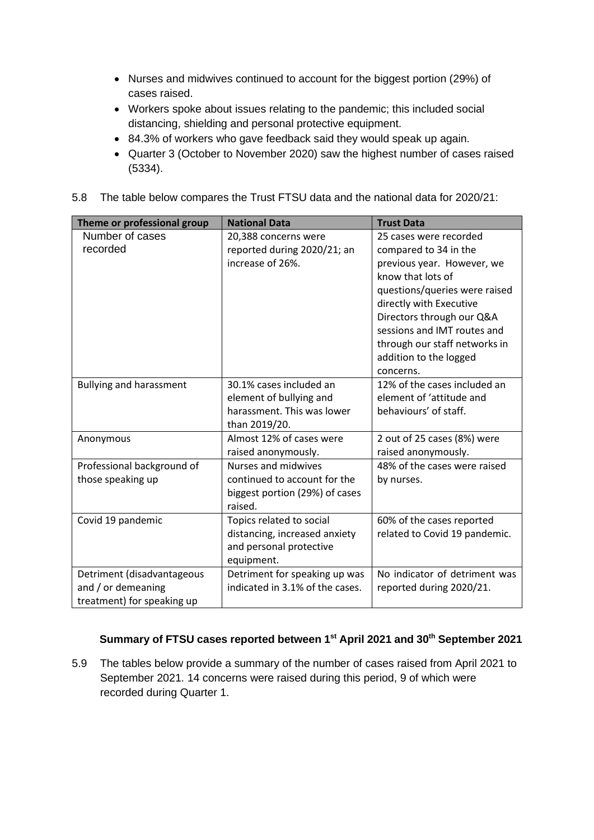- Nurses and midwives continued to account for the biggest portion (29%) of cases raised.
- Workers spoke about issues relating to the pandemic; this included social distancing, shielding and personal protective equipment.
- 84.3% of workers who gave feedback said they would speak up again.
- Quarter 3 (October to November 2020) saw the highest number of cases raised (5334).
- 5.8 The table below compares the Trust FTSU data and the national data for 2020/21:

| Theme or professional group    | <b>National Data</b>            | <b>Trust Data</b>             |  |  |  |  |  |  |
|--------------------------------|---------------------------------|-------------------------------|--|--|--|--|--|--|
| Number of cases                | 20,388 concerns were            | 25 cases were recorded        |  |  |  |  |  |  |
| recorded                       | reported during 2020/21; an     | compared to 34 in the         |  |  |  |  |  |  |
|                                | increase of 26%.                | previous year. However, we    |  |  |  |  |  |  |
|                                |                                 | know that lots of             |  |  |  |  |  |  |
|                                |                                 | questions/queries were raised |  |  |  |  |  |  |
|                                |                                 | directly with Executive       |  |  |  |  |  |  |
|                                |                                 | Directors through our Q&A     |  |  |  |  |  |  |
|                                |                                 | sessions and IMT routes and   |  |  |  |  |  |  |
|                                |                                 | through our staff networks in |  |  |  |  |  |  |
|                                |                                 | addition to the logged        |  |  |  |  |  |  |
|                                |                                 | concerns.                     |  |  |  |  |  |  |
| <b>Bullying and harassment</b> | 30.1% cases included an         | 12% of the cases included an  |  |  |  |  |  |  |
|                                | element of bullying and         | element of 'attitude and      |  |  |  |  |  |  |
|                                | harassment. This was lower      | behaviours' of staff.         |  |  |  |  |  |  |
|                                | than 2019/20.                   |                               |  |  |  |  |  |  |
| Anonymous                      | Almost 12% of cases were        | 2 out of 25 cases (8%) were   |  |  |  |  |  |  |
|                                | raised anonymously.             | raised anonymously.           |  |  |  |  |  |  |
| Professional background of     | <b>Nurses and midwives</b>      | 48% of the cases were raised  |  |  |  |  |  |  |
| those speaking up              | continued to account for the    | by nurses.                    |  |  |  |  |  |  |
|                                | biggest portion (29%) of cases  |                               |  |  |  |  |  |  |
|                                | raised.                         |                               |  |  |  |  |  |  |
| Covid 19 pandemic              | Topics related to social        | 60% of the cases reported     |  |  |  |  |  |  |
|                                | distancing, increased anxiety   | related to Covid 19 pandemic. |  |  |  |  |  |  |
|                                | and personal protective         |                               |  |  |  |  |  |  |
|                                | equipment.                      |                               |  |  |  |  |  |  |
| Detriment (disadvantageous     | Detriment for speaking up was   | No indicator of detriment was |  |  |  |  |  |  |
| and / or demeaning             | indicated in 3.1% of the cases. | reported during 2020/21.      |  |  |  |  |  |  |
| treatment) for speaking up     |                                 |                               |  |  |  |  |  |  |

# **Summary of FTSU cases reported between 1st April 2021 and 30th September 2021**

5.9 The tables below provide a summary of the number of cases raised from April 2021 to September 2021. 14 concerns were raised during this period, 9 of which were recorded during Quarter 1.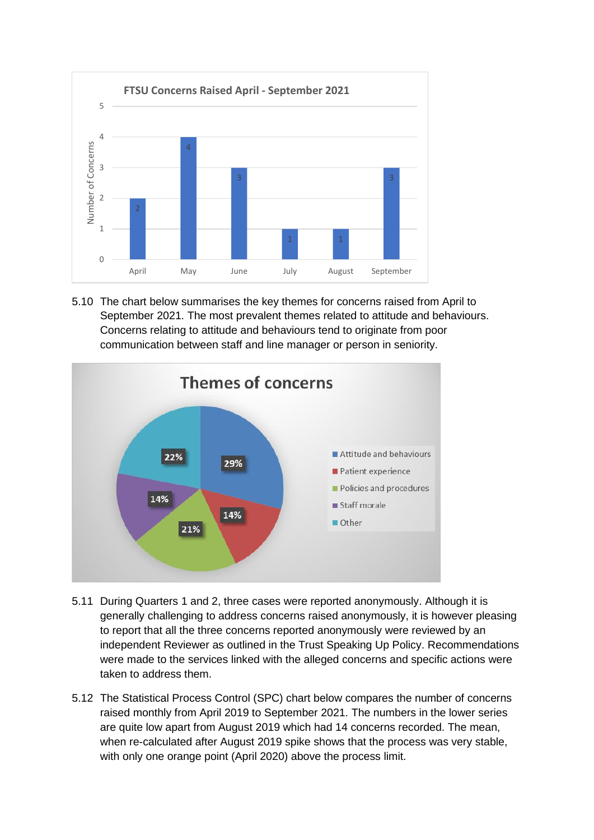

5.10 The chart below summarises the key themes for concerns raised from April to September 2021. The most prevalent themes related to attitude and behaviours. Concerns relating to attitude and behaviours tend to originate from poor communication between staff and line manager or person in seniority.



- 5.11 During Quarters 1 and 2, three cases were reported anonymously. Although it is generally challenging to address concerns raised anonymously, it is however pleasing to report that all the three concerns reported anonymously were reviewed by an independent Reviewer as outlined in the Trust Speaking Up Policy. Recommendations were made to the services linked with the alleged concerns and specific actions were taken to address them.
- 5.12 The Statistical Process Control (SPC) chart below compares the number of concerns raised monthly from April 2019 to September 2021. The numbers in the lower series are quite low apart from August 2019 which had 14 concerns recorded. The mean, when re-calculated after August 2019 spike shows that the process was very stable, with only one orange point (April 2020) above the process limit.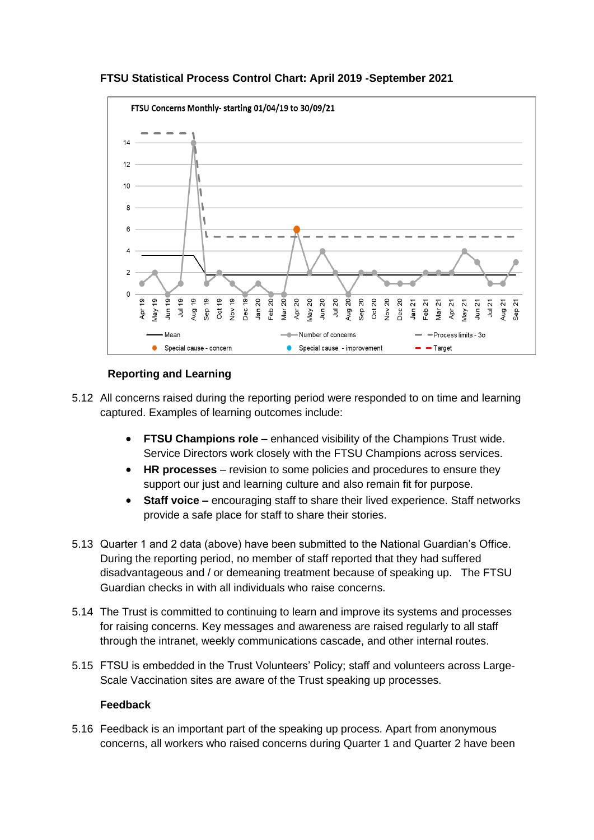



# **Reporting and Learning**

- 5.12 All concerns raised during the reporting period were responded to on time and learning captured. Examples of learning outcomes include:
	- **FTSU Champions role –** enhanced visibility of the Champions Trust wide. Service Directors work closely with the FTSU Champions across services.
	- **HR processes** revision to some policies and procedures to ensure they support our just and learning culture and also remain fit for purpose.
	- **Staff voice –** encouraging staff to share their lived experience. Staff networks provide a safe place for staff to share their stories.
- 5.13 Quarter 1 and 2 data (above) have been submitted to the National Guardian's Office. During the reporting period, no member of staff reported that they had suffered disadvantageous and / or demeaning treatment because of speaking up. The FTSU Guardian checks in with all individuals who raise concerns.
- 5.14 The Trust is committed to continuing to learn and improve its systems and processes for raising concerns. Key messages and awareness are raised regularly to all staff through the intranet, weekly communications cascade, and other internal routes.
- 5.15 FTSU is embedded in the Trust Volunteers' Policy; staff and volunteers across Large-Scale Vaccination sites are aware of the Trust speaking up processes.

### **Feedback**

5.16 Feedback is an important part of the speaking up process. Apart from anonymous concerns, all workers who raised concerns during Quarter 1 and Quarter 2 have been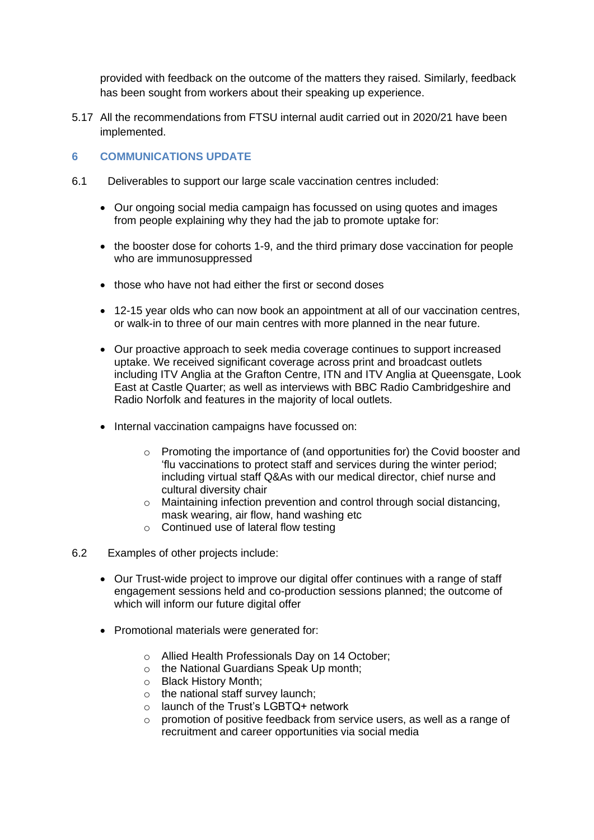provided with feedback on the outcome of the matters they raised. Similarly, feedback has been sought from workers about their speaking up experience.

5.17 All the recommendations from FTSU internal audit carried out in 2020/21 have been implemented.

# **6 COMMUNICATIONS UPDATE**

- 6.1 Deliverables to support our large scale vaccination centres included:
	- Our ongoing social media campaign has focussed on using quotes and images from people explaining why they had the jab to promote uptake for:
	- the booster dose for cohorts 1-9, and the third primary dose vaccination for people who are immunosuppressed
	- those who have not had either the first or second doses
	- 12-15 year olds who can now book an appointment at all of our vaccination centres, or walk-in to three of our main centres with more planned in the near future.
	- Our proactive approach to seek media coverage continues to support increased uptake. We received significant coverage across print and broadcast outlets including ITV Anglia at the Grafton Centre, ITN and ITV Anglia at Queensgate, Look East at Castle Quarter; as well as interviews with BBC Radio Cambridgeshire and Radio Norfolk and features in the majority of local outlets.
	- Internal vaccination campaigns have focussed on:
		- o Promoting the importance of (and opportunities for) the Covid booster and 'flu vaccinations to protect staff and services during the winter period; including virtual staff Q&As with our medical director, chief nurse and cultural diversity chair
		- o Maintaining infection prevention and control through social distancing, mask wearing, air flow, hand washing etc
		- o Continued use of lateral flow testing
- 6.2 Examples of other projects include:
	- Our Trust-wide project to improve our digital offer continues with a range of staff engagement sessions held and co-production sessions planned; the outcome of which will inform our future digital offer
	- Promotional materials were generated for:
		- o Allied Health Professionals Day on 14 October;
		- o the National Guardians Speak Up month;
		- o Black History Month;
		- o the national staff survey launch;
		- o launch of the Trust's LGBTQ+ network
		- o promotion of positive feedback from service users, as well as a range of recruitment and career opportunities via social media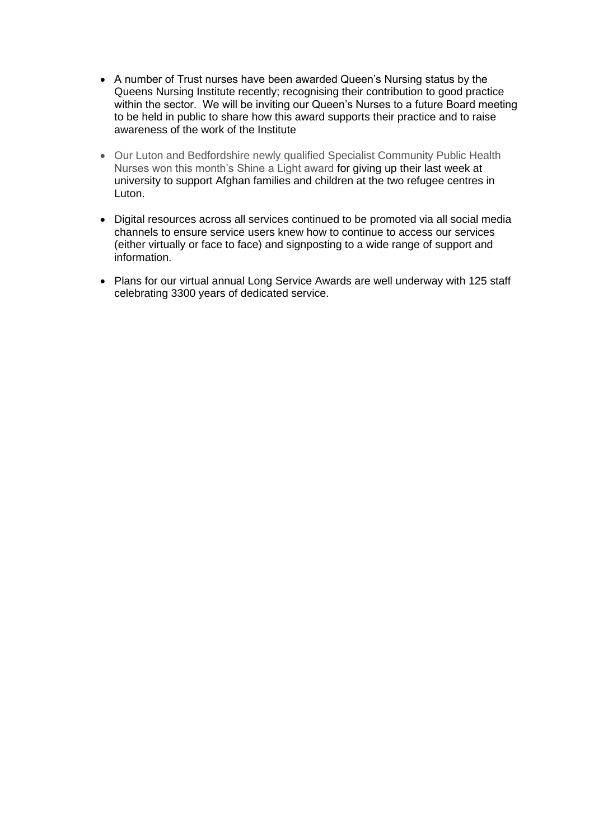- A number of Trust nurses have been awarded Queen's Nursing status by the Queens Nursing Institute recently; recognising their contribution to good practice within the sector. We will be inviting our Queen's Nurses to a future Board meeting to be held in public to share how this award supports their practice and to raise awareness of the work of the Institute
- Our Luton and Bedfordshire newly qualified Specialist Community Public Health Nurses won this month's Shine a Light award for giving up their last week at university to support Afghan families and children at the two refugee centres in Luton.
- Digital resources across all services continued to be promoted via all social media channels to ensure service users knew how to continue to access our services (either virtually or face to face) and signposting to a wide range of support and information.
- Plans for our virtual annual Long Service Awards are well underway with 125 staff celebrating 3300 years of dedicated service.